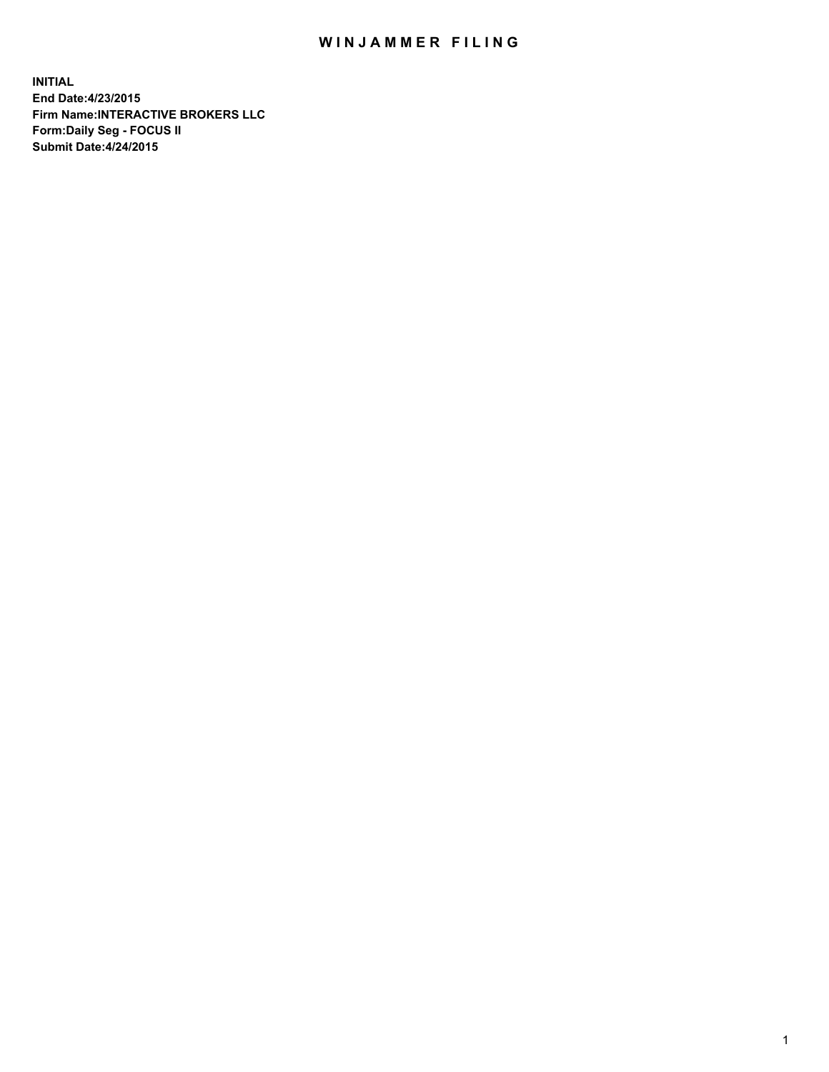## WIN JAMMER FILING

**INITIAL End Date:4/23/2015 Firm Name:INTERACTIVE BROKERS LLC Form:Daily Seg - FOCUS II Submit Date:4/24/2015**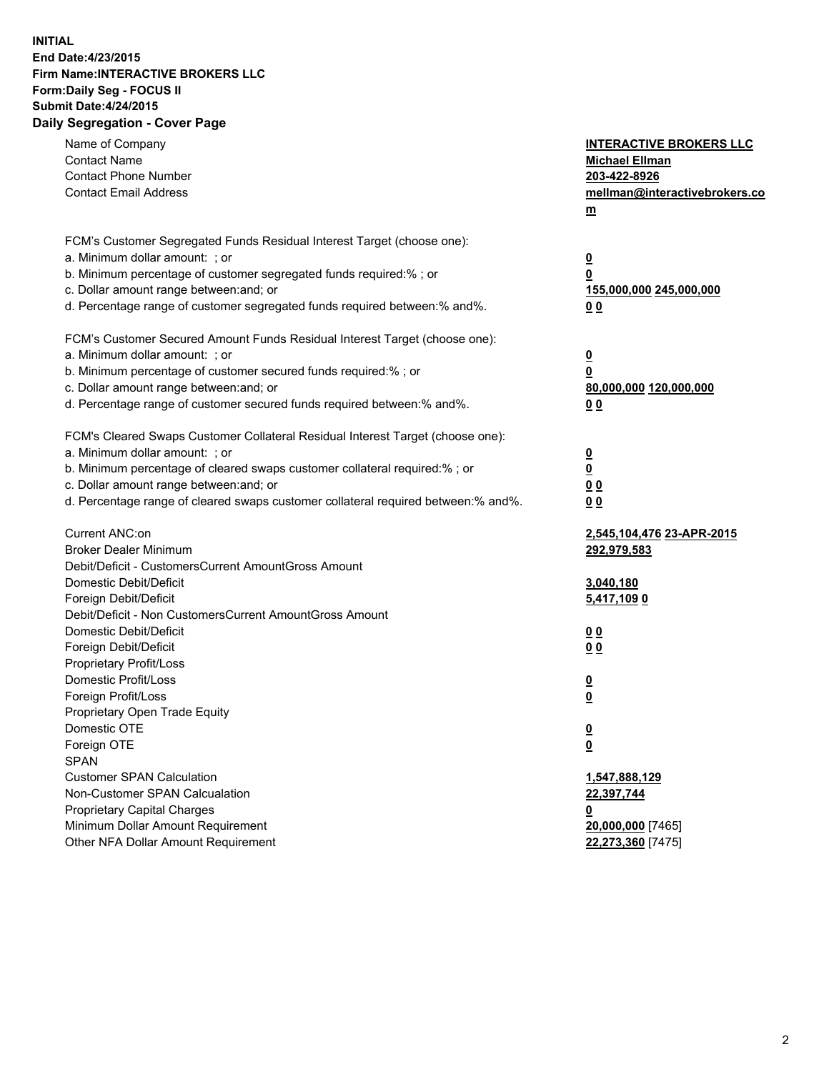## **INITIAL End Date:4/23/2015 Firm Name:INTERACTIVE BROKERS LLC Form:Daily Seg - FOCUS II Submit Date:4/24/2015 Daily Segregation - Cover Page**

| Name of Company<br><b>Contact Name</b><br><b>Contact Phone Number</b><br><b>Contact Email Address</b>                                                                                                                                                                                                                          | <b>INTERACTIVE BROKERS LLC</b><br><b>Michael Ellman</b><br>203-422-8926<br>mellman@interactivebrokers.co<br>m |
|--------------------------------------------------------------------------------------------------------------------------------------------------------------------------------------------------------------------------------------------------------------------------------------------------------------------------------|---------------------------------------------------------------------------------------------------------------|
| FCM's Customer Segregated Funds Residual Interest Target (choose one):<br>a. Minimum dollar amount: ; or<br>b. Minimum percentage of customer segregated funds required:% ; or<br>c. Dollar amount range between: and; or<br>d. Percentage range of customer segregated funds required between:% and%.                         | $\overline{\mathbf{0}}$<br>0<br>155,000,000 245,000,000<br>00                                                 |
| FCM's Customer Secured Amount Funds Residual Interest Target (choose one):<br>a. Minimum dollar amount: ; or<br>b. Minimum percentage of customer secured funds required:% ; or<br>c. Dollar amount range between: and; or<br>d. Percentage range of customer secured funds required between:% and%.                           | $\overline{\mathbf{0}}$<br>0<br>80,000,000 120,000,000<br>0 <sub>0</sub>                                      |
| FCM's Cleared Swaps Customer Collateral Residual Interest Target (choose one):<br>a. Minimum dollar amount: ; or<br>b. Minimum percentage of cleared swaps customer collateral required:% ; or<br>c. Dollar amount range between: and; or<br>d. Percentage range of cleared swaps customer collateral required between:% and%. | $\overline{\mathbf{0}}$<br><u>0</u><br>0 <sub>0</sub><br>0 <sub>0</sub>                                       |
| Current ANC:on<br><b>Broker Dealer Minimum</b><br>Debit/Deficit - CustomersCurrent AmountGross Amount<br>Domestic Debit/Deficit<br>Foreign Debit/Deficit                                                                                                                                                                       | 2,545,104,476 23-APR-2015<br>292,979,583<br>3,040,180<br>5,417,109 0                                          |
| Debit/Deficit - Non CustomersCurrent AmountGross Amount<br>Domestic Debit/Deficit<br>Foreign Debit/Deficit<br>Proprietary Profit/Loss<br>Domestic Profit/Loss                                                                                                                                                                  | 0 <sub>0</sub><br>0 <sub>0</sub><br>$\overline{\mathbf{0}}$                                                   |
| Foreign Profit/Loss<br>Proprietary Open Trade Equity<br>Domestic OTE<br>Foreign OTE<br><b>SPAN</b><br><b>Customer SPAN Calculation</b>                                                                                                                                                                                         | $\overline{\mathbf{0}}$<br>$\overline{\mathbf{0}}$<br><u>0</u><br>1,547,888,129                               |
| Non-Customer SPAN Calcualation<br><b>Proprietary Capital Charges</b><br>Minimum Dollar Amount Requirement<br>Other NFA Dollar Amount Requirement                                                                                                                                                                               | 22,397,744<br><u>0</u><br>20,000,000 [7465]<br>22,273,360 [7475]                                              |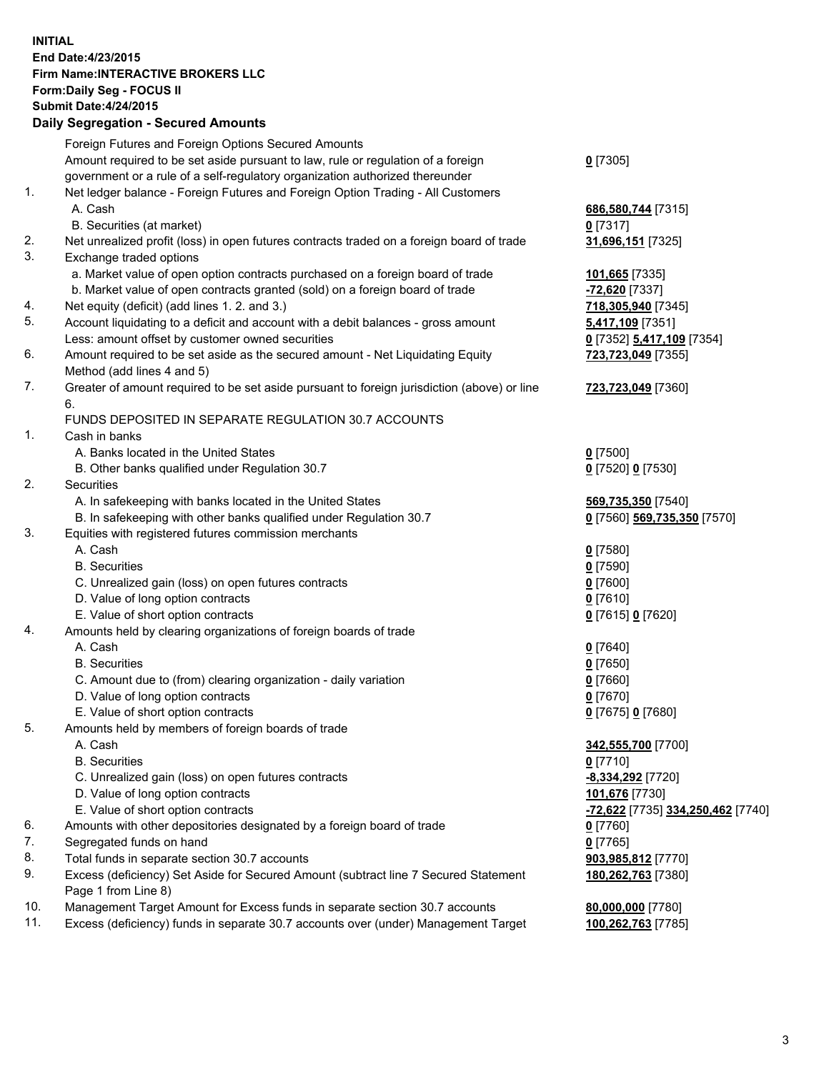## **INITIAL End Date:4/23/2015 Firm Name:INTERACTIVE BROKERS LLC Form:Daily Seg - FOCUS II Submit Date:4/24/2015 Daily Segregation - Secured Amounts**

|     | Dany Ocgregation - Oceanea Annoanta                                                         |                                                |
|-----|---------------------------------------------------------------------------------------------|------------------------------------------------|
|     | Foreign Futures and Foreign Options Secured Amounts                                         |                                                |
|     | Amount required to be set aside pursuant to law, rule or regulation of a foreign            | $0$ [7305]                                     |
|     | government or a rule of a self-regulatory organization authorized thereunder                |                                                |
| 1.  | Net ledger balance - Foreign Futures and Foreign Option Trading - All Customers             |                                                |
|     | A. Cash                                                                                     | 686,580,744 [7315]                             |
|     | B. Securities (at market)                                                                   | $0$ [7317]                                     |
| 2.  | Net unrealized profit (loss) in open futures contracts traded on a foreign board of trade   | 31,696,151 [7325]                              |
| 3.  | Exchange traded options                                                                     |                                                |
|     | a. Market value of open option contracts purchased on a foreign board of trade              | 101,665 [7335]                                 |
|     | b. Market value of open contracts granted (sold) on a foreign board of trade                | <u>-72,620</u> [7337]                          |
| 4.  | Net equity (deficit) (add lines 1.2. and 3.)                                                | 718,305,940 [7345]                             |
| 5.  | Account liquidating to a deficit and account with a debit balances - gross amount           | <u>5,417,109</u> [7351]                        |
|     | Less: amount offset by customer owned securities                                            | 0 [7352] 5,417,109 [7354]                      |
| 6.  | Amount required to be set aside as the secured amount - Net Liquidating Equity              | 723,723,049 [7355]                             |
|     | Method (add lines 4 and 5)                                                                  |                                                |
| 7.  | Greater of amount required to be set aside pursuant to foreign jurisdiction (above) or line | 723,723,049 [7360]                             |
|     | 6.                                                                                          |                                                |
|     | FUNDS DEPOSITED IN SEPARATE REGULATION 30.7 ACCOUNTS                                        |                                                |
| 1.  | Cash in banks                                                                               |                                                |
|     | A. Banks located in the United States                                                       | $0$ [7500]                                     |
|     | B. Other banks qualified under Regulation 30.7                                              | 0 [7520] 0 [7530]                              |
| 2.  | Securities                                                                                  |                                                |
|     | A. In safekeeping with banks located in the United States                                   | 569,735,350 [7540]                             |
|     | B. In safekeeping with other banks qualified under Regulation 30.7                          | 0 [7560] 569,735,350 [7570]                    |
| 3.  | Equities with registered futures commission merchants                                       |                                                |
|     | A. Cash                                                                                     | $0$ [7580]                                     |
|     | <b>B.</b> Securities                                                                        | $0$ [7590]                                     |
|     | C. Unrealized gain (loss) on open futures contracts                                         | $0$ [7600]                                     |
|     | D. Value of long option contracts                                                           | $0$ [7610]                                     |
|     | E. Value of short option contracts                                                          | 0 [7615] 0 [7620]                              |
| 4.  | Amounts held by clearing organizations of foreign boards of trade                           |                                                |
|     | A. Cash                                                                                     | $0$ [7640]                                     |
|     | <b>B.</b> Securities                                                                        | $0$ [7650]                                     |
|     | C. Amount due to (from) clearing organization - daily variation                             | $0$ [7660]                                     |
|     | D. Value of long option contracts                                                           | $0$ [7670]                                     |
|     | E. Value of short option contracts                                                          | 0 [7675] 0 [7680]                              |
| 5.  | Amounts held by members of foreign boards of trade                                          |                                                |
|     | A. Cash                                                                                     | 342,555,700 [7700]                             |
|     | <b>B.</b> Securities                                                                        | $0$ [7710]                                     |
|     | C. Unrealized gain (loss) on open futures contracts                                         | -8,334,292 [7720]                              |
|     | D. Value of long option contracts                                                           | 101,676 [7730]                                 |
|     | E. Value of short option contracts                                                          | <mark>-72,622</mark> [7735] 334,250,462 [7740] |
| 6.  | Amounts with other depositories designated by a foreign board of trade                      | $0$ [7760]                                     |
| 7.  | Segregated funds on hand                                                                    | $0$ [7765]                                     |
| 8.  | Total funds in separate section 30.7 accounts                                               | 903,985,812 [7770]                             |
| 9.  | Excess (deficiency) Set Aside for Secured Amount (subtract line 7 Secured Statement         | 180,262,763 [7380]                             |
|     | Page 1 from Line 8)                                                                         |                                                |
| 10. | Management Target Amount for Excess funds in separate section 30.7 accounts                 | 80,000,000 [7780]                              |
| 11. | Excess (deficiency) funds in separate 30.7 accounts over (under) Management Target          | 100,262,763 [7785]                             |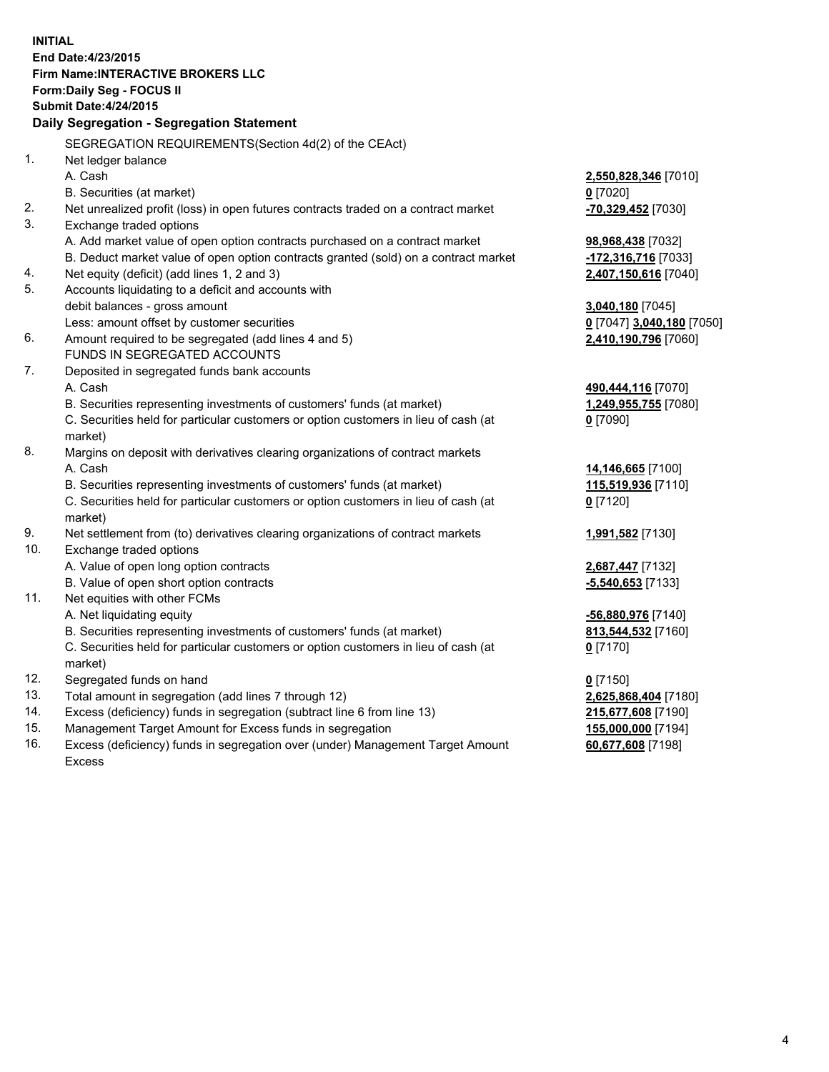**INITIAL End Date:4/23/2015 Firm Name:INTERACTIVE BROKERS LLC Form:Daily Seg - FOCUS II Submit Date:4/24/2015 Daily Segregation - Segregation Statement** SEGREGATION REQUIREMENTS(Section 4d(2) of the CEAct) 1. Net ledger balance A. Cash **2,550,828,346** [7010] B. Securities (at market) **0** [7020] 2. Net unrealized profit (loss) in open futures contracts traded on a contract market **-70,329,452** [7030] 3. Exchange traded options A. Add market value of open option contracts purchased on a contract market **98,968,438** [7032] B. Deduct market value of open option contracts granted (sold) on a contract market **-172,316,716** [7033] 4. Net equity (deficit) (add lines 1, 2 and 3) **2,407,150,616** [7040] 5. Accounts liquidating to a deficit and accounts with debit balances - gross amount **3,040,180** [7045] Less: amount offset by customer securities **0** [7047] **3,040,180** [7050] 6. Amount required to be segregated (add lines 4 and 5) **2,410,190,796** [7060] FUNDS IN SEGREGATED ACCOUNTS 7. Deposited in segregated funds bank accounts A. Cash **490,444,116** [7070] B. Securities representing investments of customers' funds (at market) **1,249,955,755** [7080] C. Securities held for particular customers or option customers in lieu of cash (at market) **0** [7090] 8. Margins on deposit with derivatives clearing organizations of contract markets A. Cash **14,146,665** [7100] B. Securities representing investments of customers' funds (at market) **115,519,936** [7110] C. Securities held for particular customers or option customers in lieu of cash (at market) **0** [7120] 9. Net settlement from (to) derivatives clearing organizations of contract markets **1,991,582** [7130] 10. Exchange traded options A. Value of open long option contracts **2,687,447** [7132] B. Value of open short option contracts **-5,540,653** [7133] 11. Net equities with other FCMs A. Net liquidating equity **-56,880,976** [7140] B. Securities representing investments of customers' funds (at market) **813,544,532** [7160] C. Securities held for particular customers or option customers in lieu of cash (at market) **0** [7170] 12. Segregated funds on hand **0** [7150] 13. Total amount in segregation (add lines 7 through 12) **2,625,868,404** [7180] 14. Excess (deficiency) funds in segregation (subtract line 6 from line 13) **215,677,608** [7190] 15. Management Target Amount for Excess funds in segregation **155,000,000** [7194]

16. Excess (deficiency) funds in segregation over (under) Management Target Amount Excess

**60,677,608** [7198]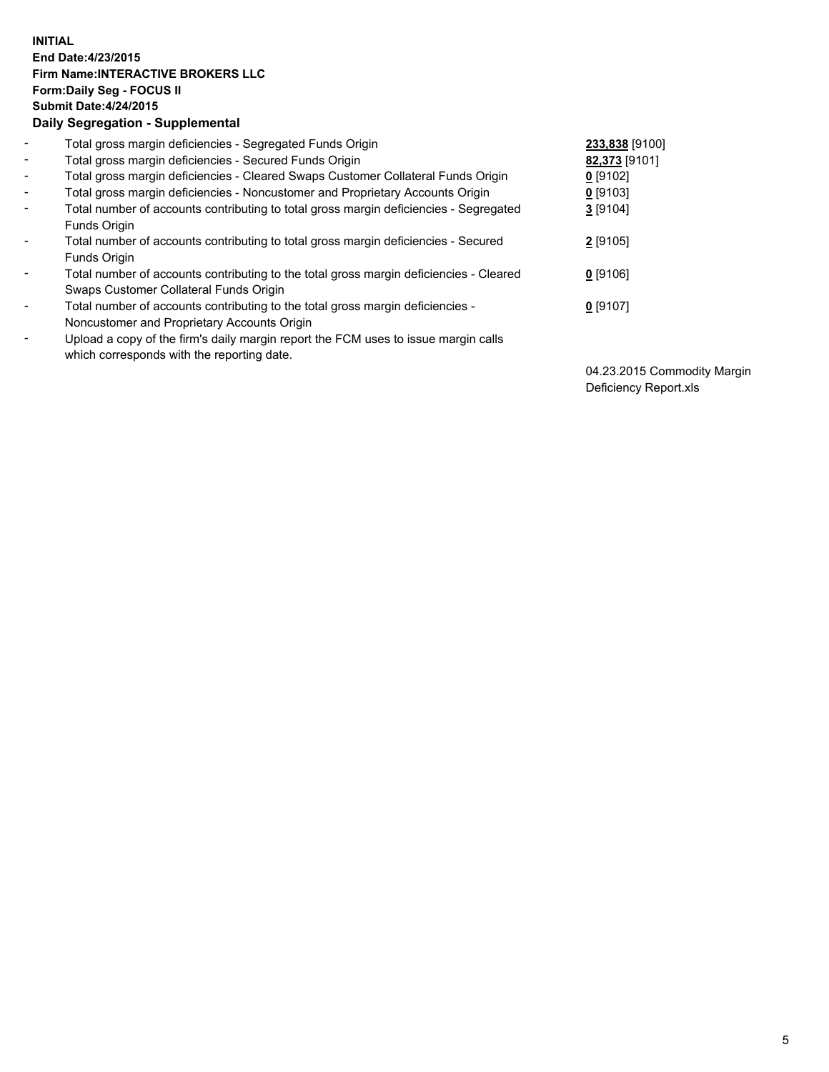## **INITIAL End Date:4/23/2015 Firm Name:INTERACTIVE BROKERS LLC Form:Daily Seg - FOCUS II Submit Date:4/24/2015 Daily Segregation - Supplemental**

| $\blacksquare$           | Total gross margin deficiencies - Segregated Funds Origin                                                                        | 233,838 [9100] |
|--------------------------|----------------------------------------------------------------------------------------------------------------------------------|----------------|
| $\blacksquare$           | Total gross margin deficiencies - Secured Funds Origin                                                                           | 82,373 [9101]  |
| $\blacksquare$           | Total gross margin deficiencies - Cleared Swaps Customer Collateral Funds Origin                                                 | $0$ [9102]     |
| $\blacksquare$           | Total gross margin deficiencies - Noncustomer and Proprietary Accounts Origin                                                    | $0$ [9103]     |
| $\blacksquare$           | Total number of accounts contributing to total gross margin deficiencies - Segregated<br>Funds Origin                            | 3[9104]        |
| $\blacksquare$           | Total number of accounts contributing to total gross margin deficiencies - Secured<br><b>Funds Origin</b>                        | 2 [9105]       |
| $\overline{\phantom{a}}$ | Total number of accounts contributing to the total gross margin deficiencies - Cleared<br>Swaps Customer Collateral Funds Origin | $0$ [9106]     |
| -                        | Total number of accounts contributing to the total gross margin deficiencies -<br>Noncustomer and Proprietary Accounts Origin    | $0$ [9107]     |
| $\blacksquare$           | Upload a copy of the firm's daily margin report the FCM uses to issue margin calls<br>which corresponds with the reporting date. |                |

04.23.2015 Commodity Margin Deficiency Report.xls